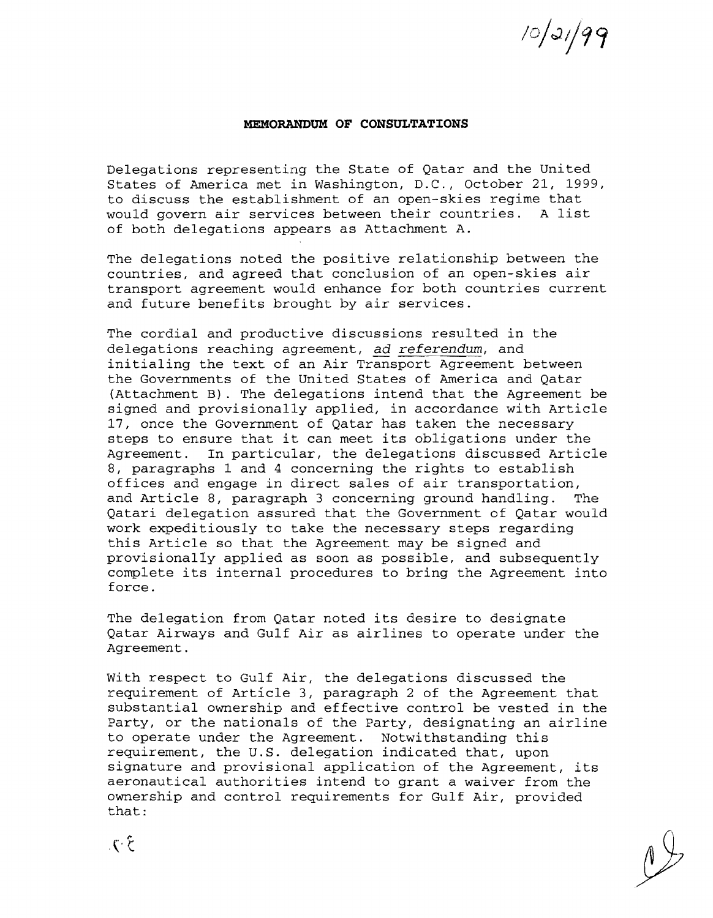$10/31/99$ 

## **MEMORANDUM OF CONSULTATIONS**

Delegations representing the State of Qatar and the United States of America met in Washington, D.C., October 21, 1999, to discuss the establishment of an open-skies regime that would govern air services between their countries. A list of both delegations appears as Attachment A.

The delegations noted the positive relationship between the countries, and agreed that conclusion of an open-skies air transport agreement would enhance for both countries current and future benefits brought by air services.

The cordial and productive discussions resulted in the delegations reaching agreement, ad *referendum,* and initialing the text of an Air Transport Agreement between the Governments of the United States of America and Qatar (Attachment B). The delegations intend that the Agreement be signed and provisionally applied, in accordance with Article 17, once the Government of Qatar has taken the necessary steps to ensure that it can meet its obligations under the<br>Agreement. In particular, the delegations discussed Artic In particular, the delegations discussed Article 8, paragraphs 1 and 4 concerning the rights to establish offices and engage in direct sales of air transportation,<br>and Article 8, paragraph 3 concerning ground handling. The and Article 8, paragraph 3 concerning ground handling. Qatari delegation assured that the Government of Qatar would work expeditiously to take the necessary steps regarding this Article so that the Agreement may be signed and provisionally applied as soon as possible, and subsequently complete its internal procedures to bring the Agreement into force.

The delegation from Qatar noted its desire to designate Qatar Airways and Gulf Air as airlines to operate under the Agreement.

With respect to Gulf Air, the delegations discussed the requirement of Article 3, paragraph 2 of the Agreement that substantial ownership and effective control be vested in the Party, or the nationals of the Party, designating an airline to operate under the Agreement. Notwithstanding this requirement, the U.S. delegation indicated that, upon signature and provisional application of the Agreement, its aeronautical authorities intend to grant a waiver from the ownership and control requirements for Gulf Air, provided that: